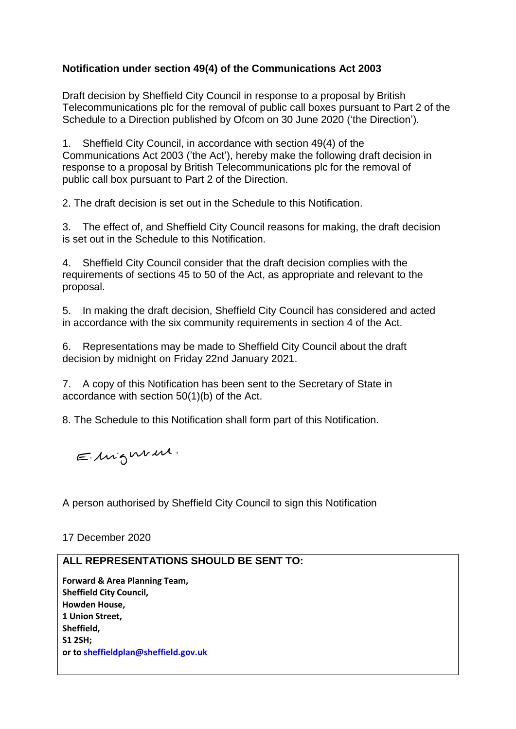## **Notification under section 49(4) of the Communications Act 2003**

Draft decision by Sheffield City Council in response to a proposal by British Telecommunications plc for the removal of public call boxes pursuant to Part 2 of the Schedule to a Direction published by Ofcom on 30 June 2020 ('the Direction').

1. Sheffield City Council, in accordance with section 49(4) of the Communications Act 2003 ('the Act'), hereby make the following draft decision in response to a proposal by British Telecommunications plc for the removal of public call box pursuant to Part 2 of the Direction.

2. The draft decision is set out in the Schedule to this Notification.

3. The effect of, and Sheffield City Council reasons for making, the draft decision is set out in the Schedule to this Notification.

4. Sheffield City Council consider that the draft decision complies with the requirements of sections 45 to 50 of the Act, as appropriate and relevant to the proposal.

5. In making the draft decision, Sheffield City Council has considered and acted in accordance with the six community requirements in section 4 of the Act.

6. Representations may be made to Sheffield City Council about the draft decision by midnight on Friday 22nd January 2021.

7. A copy of this Notification has been sent to the Secretary of State in accordance with section 50(1)(b) of the Act.

8. The Schedule to this Notification shall form part of this Notification.

Elingwin.

A person authorised by Sheffield City Council to sign this Notification

17 December 2020

## **ALL REPRESENTATIONS SHOULD BE SENT TO:**

**Forward & Area Planning Team, Sheffield City Council, Howden House, 1 Union Street, Sheffield, S1 2SH; or to sheffieldplan@sheffield.gov.uk**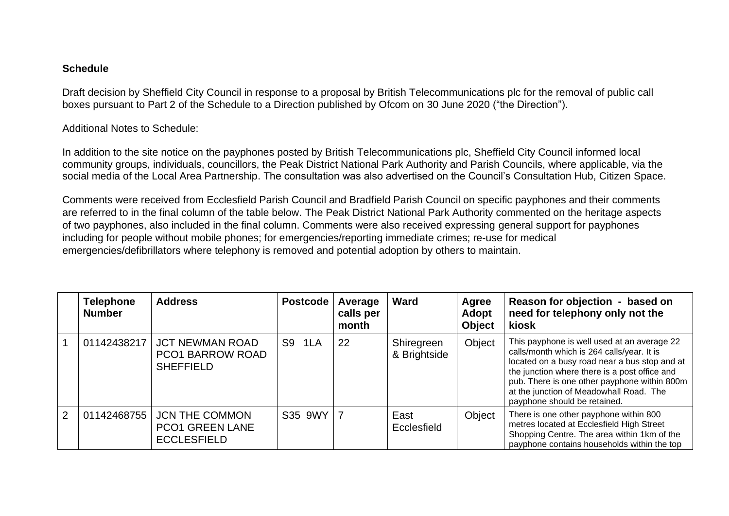## **Schedule**

Draft decision by Sheffield City Council in response to a proposal by British Telecommunications plc for the removal of public call boxes pursuant to Part 2 of the Schedule to a Direction published by Ofcom on 30 June 2020 ("the Direction").

Additional Notes to Schedule:

In addition to the site notice on the payphones posted by British Telecommunications plc, Sheffield City Council informed local community groups, individuals, councillors, the Peak District National Park Authority and Parish Councils, where applicable, via the social media of the Local Area Partnership. The consultation was also advertised on the Council's Consultation Hub, Citizen Space.

Comments were received from Ecclesfield Parish Council and Bradfield Parish Council on specific payphones and their comments are referred to in the final column of the table below. The Peak District National Park Authority commented on the heritage aspects of two payphones, also included in the final column. Comments were also received expressing general support for payphones including for people without mobile phones; for emergencies/reporting immediate crimes; re-use for medical emergencies/defibrillators where telephony is removed and potential adoption by others to maintain.

|   | <b>Telephone</b><br><b>Number</b> | <b>Address</b>                                                        | <b>Postcode</b> | Average<br>calls per<br>month | Ward                       | Agree<br>Adopt<br><b>Object</b> | Reason for objection - based on<br>need for telephony only not the<br>kiosk                                                                                                                                                                                                                                            |
|---|-----------------------------------|-----------------------------------------------------------------------|-----------------|-------------------------------|----------------------------|---------------------------------|------------------------------------------------------------------------------------------------------------------------------------------------------------------------------------------------------------------------------------------------------------------------------------------------------------------------|
|   | 01142438217                       | <b>JCT NEWMAN ROAD</b><br>PCO1 BARROW ROAD<br><b>SHEFFIELD</b>        | S9 1LA          | 22                            | Shiregreen<br>& Brightside | Object                          | This payphone is well used at an average 22<br>calls/month which is 264 calls/year. It is<br>located on a busy road near a bus stop and at<br>the junction where there is a post office and<br>pub. There is one other payphone within 800m<br>at the junction of Meadowhall Road. The<br>payphone should be retained. |
| 2 | 01142468755                       | <b>JCN THE COMMON</b><br><b>PCO1 GREEN LANE</b><br><b>ECCLESFIELD</b> | S35 9WY 7       |                               | East<br>Ecclesfield        | Object                          | There is one other payphone within 800<br>metres located at Ecclesfield High Street<br>Shopping Centre. The area within 1km of the<br>payphone contains households within the top                                                                                                                                      |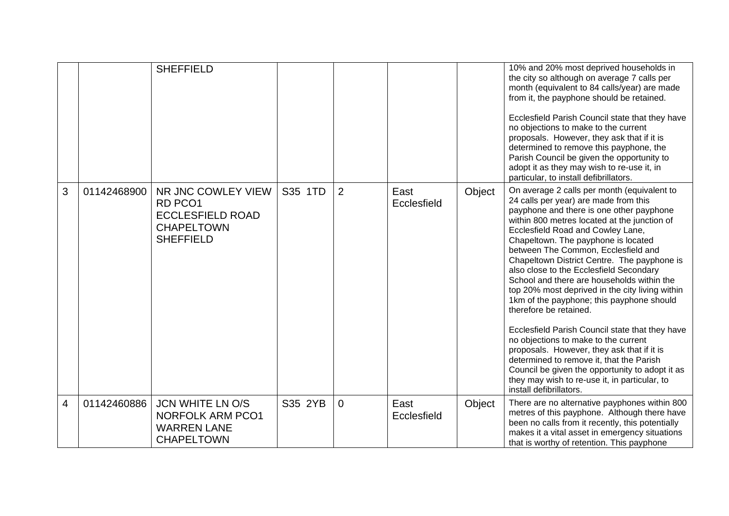|                |             | <b>SHEFFIELD</b>                                                                                  |         |                |                     |        | 10% and 20% most deprived households in<br>the city so although on average 7 calls per<br>month (equivalent to 84 calls/year) are made<br>from it, the payphone should be retained.<br>Ecclesfield Parish Council state that they have<br>no objections to make to the current<br>proposals. However, they ask that if it is<br>determined to remove this payphone, the<br>Parish Council be given the opportunity to<br>adopt it as they may wish to re-use it, in<br>particular, to install defibrillators.                                                                                                                                                                                                                                                                                                                                                                             |
|----------------|-------------|---------------------------------------------------------------------------------------------------|---------|----------------|---------------------|--------|-------------------------------------------------------------------------------------------------------------------------------------------------------------------------------------------------------------------------------------------------------------------------------------------------------------------------------------------------------------------------------------------------------------------------------------------------------------------------------------------------------------------------------------------------------------------------------------------------------------------------------------------------------------------------------------------------------------------------------------------------------------------------------------------------------------------------------------------------------------------------------------------|
| 3              | 01142468900 | NR JNC COWLEY VIEW<br>RD PCO1<br><b>ECCLESFIELD ROAD</b><br><b>CHAPELTOWN</b><br><b>SHEFFIELD</b> | S35 1TD | $\overline{2}$ | East<br>Ecclesfield | Object | On average 2 calls per month (equivalent to<br>24 calls per year) are made from this<br>payphone and there is one other payphone<br>within 800 metres located at the junction of<br>Ecclesfield Road and Cowley Lane,<br>Chapeltown. The payphone is located<br>between The Common, Ecclesfield and<br>Chapeltown District Centre. The payphone is<br>also close to the Ecclesfield Secondary<br>School and there are households within the<br>top 20% most deprived in the city living within<br>1km of the payphone; this payphone should<br>therefore be retained.<br>Ecclesfield Parish Council state that they have<br>no objections to make to the current<br>proposals. However, they ask that if it is<br>determined to remove it, that the Parish<br>Council be given the opportunity to adopt it as<br>they may wish to re-use it, in particular, to<br>install defibrillators. |
| $\overline{4}$ | 01142460886 | <b>JCN WHITE LN O/S</b><br><b>NORFOLK ARM PCO1</b><br><b>WARREN LANE</b><br><b>CHAPELTOWN</b>     | S35 2YB | $\overline{0}$ | East<br>Ecclesfield | Object | There are no alternative payphones within 800<br>metres of this payphone. Although there have<br>been no calls from it recently, this potentially<br>makes it a vital asset in emergency situations<br>that is worthy of retention. This payphone                                                                                                                                                                                                                                                                                                                                                                                                                                                                                                                                                                                                                                         |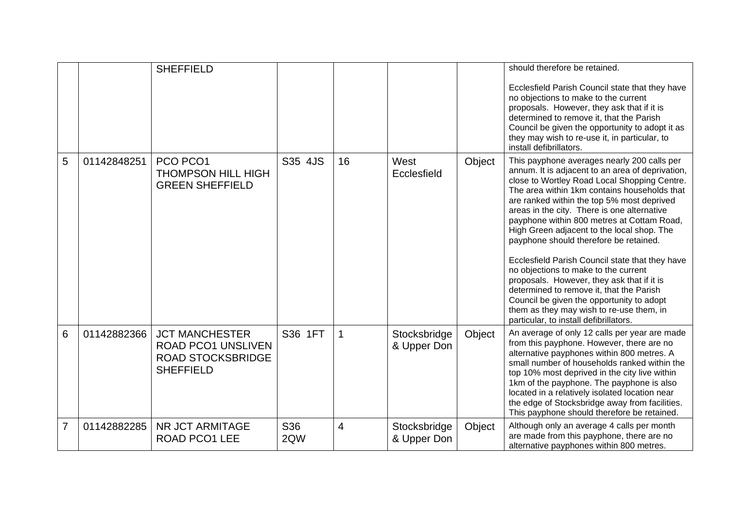|                |             | <b>SHEFFIELD</b>                                                                                   |                        |                |                             |        | should therefore be retained.<br>Ecclesfield Parish Council state that they have<br>no objections to make to the current<br>proposals. However, they ask that if it is<br>determined to remove it, that the Parish<br>Council be given the opportunity to adopt it as<br>they may wish to re-use it, in particular, to<br>install defibrillators.                                                                                                                                                                                                                                                                                                                                                                                                          |
|----------------|-------------|----------------------------------------------------------------------------------------------------|------------------------|----------------|-----------------------------|--------|------------------------------------------------------------------------------------------------------------------------------------------------------------------------------------------------------------------------------------------------------------------------------------------------------------------------------------------------------------------------------------------------------------------------------------------------------------------------------------------------------------------------------------------------------------------------------------------------------------------------------------------------------------------------------------------------------------------------------------------------------------|
| 5              | 01142848251 | PCO PCO1<br><b>THOMPSON HILL HIGH</b><br><b>GREEN SHEFFIELD</b>                                    | S35 4JS                | 16             | West<br>Ecclesfield         | Object | This payphone averages nearly 200 calls per<br>annum. It is adjacent to an area of deprivation,<br>close to Wortley Road Local Shopping Centre.<br>The area within 1km contains households that<br>are ranked within the top 5% most deprived<br>areas in the city. There is one alternative<br>payphone within 800 metres at Cottam Road,<br>High Green adjacent to the local shop. The<br>payphone should therefore be retained.<br>Ecclesfield Parish Council state that they have<br>no objections to make to the current<br>proposals. However, they ask that if it is<br>determined to remove it, that the Parish<br>Council be given the opportunity to adopt<br>them as they may wish to re-use them, in<br>particular, to install defibrillators. |
| 6              | 01142882366 | <b>JCT MANCHESTER</b><br><b>ROAD PCO1 UNSLIVEN</b><br><b>ROAD STOCKSBRIDGE</b><br><b>SHEFFIELD</b> | S36 1FT                | 1              | Stocksbridge<br>& Upper Don | Object | An average of only 12 calls per year are made<br>from this payphone. However, there are no<br>alternative payphones within 800 metres. A<br>small number of households ranked within the<br>top 10% most deprived in the city live within<br>1km of the payphone. The payphone is also<br>located in a relatively isolated location near<br>the edge of Stocksbridge away from facilities.<br>This payphone should therefore be retained.                                                                                                                                                                                                                                                                                                                  |
| $\overline{7}$ | 01142882285 | NR JCT ARMITAGE<br><b>ROAD PCO1 LEE</b>                                                            | S <sub>36</sub><br>2QW | $\overline{4}$ | Stocksbridge<br>& Upper Don | Object | Although only an average 4 calls per month<br>are made from this payphone, there are no<br>alternative payphones within 800 metres.                                                                                                                                                                                                                                                                                                                                                                                                                                                                                                                                                                                                                        |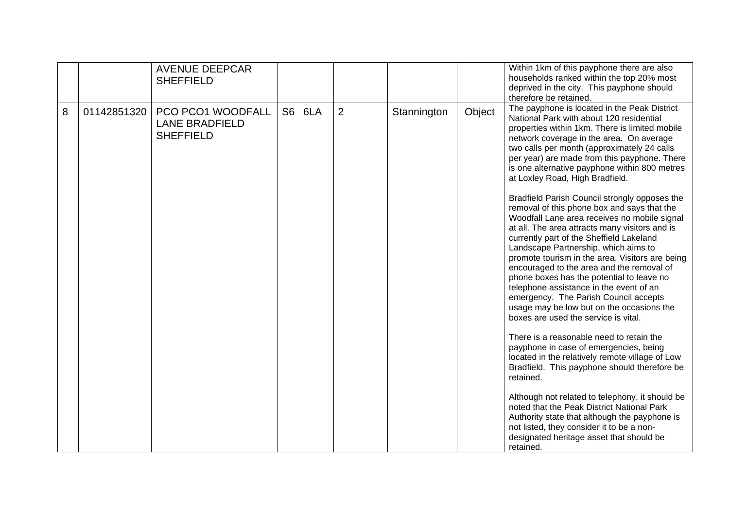|   |             | <b>AVENUE DEEPCAR</b><br><b>SHEFFIELD</b>                      |        |                |             |        | Within 1km of this payphone there are also<br>households ranked within the top 20% most<br>deprived in the city. This payphone should<br>therefore be retained.                                                                                                                                                                                                                                                                                                                                                                                                                                          |
|---|-------------|----------------------------------------------------------------|--------|----------------|-------------|--------|----------------------------------------------------------------------------------------------------------------------------------------------------------------------------------------------------------------------------------------------------------------------------------------------------------------------------------------------------------------------------------------------------------------------------------------------------------------------------------------------------------------------------------------------------------------------------------------------------------|
| 8 | 01142851320 | PCO PCO1 WOODFALL<br><b>LANE BRADFIELD</b><br><b>SHEFFIELD</b> | S6 6LA | $\overline{2}$ | Stannington | Object | The payphone is located in the Peak District<br>National Park with about 120 residential<br>properties within 1km. There is limited mobile<br>network coverage in the area. On average<br>two calls per month (approximately 24 calls<br>per year) are made from this payphone. There<br>is one alternative payphone within 800 metres<br>at Loxley Road, High Bradfield.                                                                                                                                                                                                                                |
|   |             |                                                                |        |                |             |        | Bradfield Parish Council strongly opposes the<br>removal of this phone box and says that the<br>Woodfall Lane area receives no mobile signal<br>at all. The area attracts many visitors and is<br>currently part of the Sheffield Lakeland<br>Landscape Partnership, which aims to<br>promote tourism in the area. Visitors are being<br>encouraged to the area and the removal of<br>phone boxes has the potential to leave no<br>telephone assistance in the event of an<br>emergency. The Parish Council accepts<br>usage may be low but on the occasions the<br>boxes are used the service is vital. |
|   |             |                                                                |        |                |             |        | There is a reasonable need to retain the<br>payphone in case of emergencies, being<br>located in the relatively remote village of Low<br>Bradfield. This payphone should therefore be<br>retained.                                                                                                                                                                                                                                                                                                                                                                                                       |
|   |             |                                                                |        |                |             |        | Although not related to telephony, it should be<br>noted that the Peak District National Park<br>Authority state that although the payphone is<br>not listed, they consider it to be a non-<br>designated heritage asset that should be<br>retained.                                                                                                                                                                                                                                                                                                                                                     |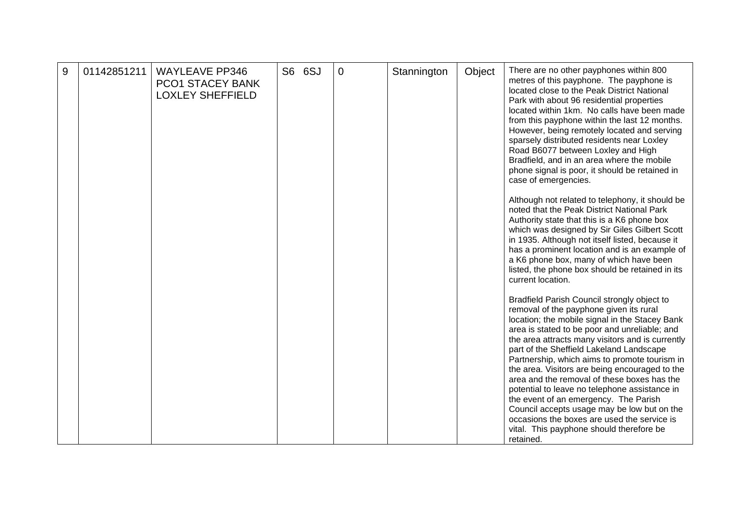| 9 | 01142851211 | <b>WAYLEAVE PP346</b><br><b>PCO1 STACEY BANK</b><br><b>LOXLEY SHEFFIELD</b> | S6 6SJ | $\overline{0}$ | Stannington | Object | There are no other payphones within 800<br>metres of this payphone. The payphone is<br>located close to the Peak District National<br>Park with about 96 residential properties<br>located within 1km. No calls have been made<br>from this payphone within the last 12 months.<br>However, being remotely located and serving<br>sparsely distributed residents near Loxley<br>Road B6077 between Loxley and High<br>Bradfield, and in an area where the mobile<br>phone signal is poor, it should be retained in<br>case of emergencies.                                                                                                                                                   |
|---|-------------|-----------------------------------------------------------------------------|--------|----------------|-------------|--------|----------------------------------------------------------------------------------------------------------------------------------------------------------------------------------------------------------------------------------------------------------------------------------------------------------------------------------------------------------------------------------------------------------------------------------------------------------------------------------------------------------------------------------------------------------------------------------------------------------------------------------------------------------------------------------------------|
|   |             |                                                                             |        |                |             |        | Although not related to telephony, it should be<br>noted that the Peak District National Park<br>Authority state that this is a K6 phone box<br>which was designed by Sir Giles Gilbert Scott<br>in 1935. Although not itself listed, because it<br>has a prominent location and is an example of<br>a K6 phone box, many of which have been<br>listed, the phone box should be retained in its<br>current location.                                                                                                                                                                                                                                                                         |
|   |             |                                                                             |        |                |             |        | Bradfield Parish Council strongly object to<br>removal of the payphone given its rural<br>location; the mobile signal in the Stacey Bank<br>area is stated to be poor and unreliable; and<br>the area attracts many visitors and is currently<br>part of the Sheffield Lakeland Landscape<br>Partnership, which aims to promote tourism in<br>the area. Visitors are being encouraged to the<br>area and the removal of these boxes has the<br>potential to leave no telephone assistance in<br>the event of an emergency. The Parish<br>Council accepts usage may be low but on the<br>occasions the boxes are used the service is<br>vital. This payphone should therefore be<br>retained. |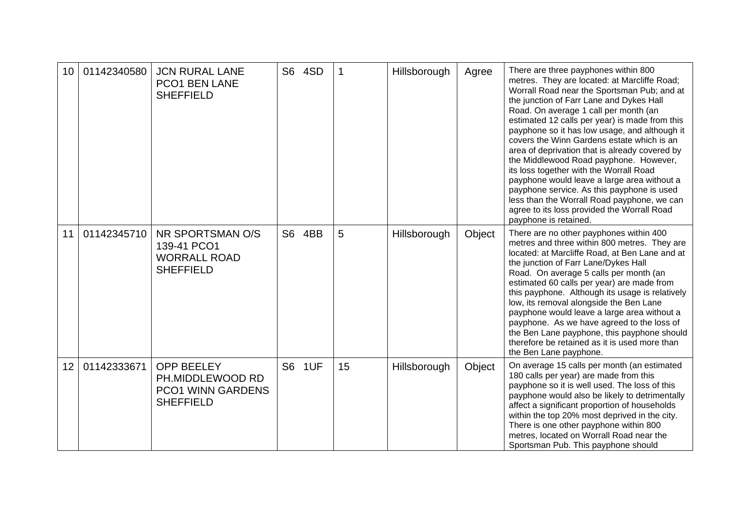| 10 | 01142340580 | <b>JCN RURAL LANE</b><br>PCO1 BEN LANE<br><b>SHEFFIELD</b>                            |    | S6 4SD |    | Hillsborough | Agree  | There are three payphones within 800<br>metres. They are located: at Marcliffe Road;<br>Worrall Road near the Sportsman Pub; and at<br>the junction of Farr Lane and Dykes Hall<br>Road. On average 1 call per month (an<br>estimated 12 calls per year) is made from this<br>payphone so it has low usage, and although it<br>covers the Winn Gardens estate which is an<br>area of deprivation that is already covered by<br>the Middlewood Road payphone. However,<br>its loss together with the Worrall Road<br>payphone would leave a large area without a<br>payphone service. As this payphone is used<br>less than the Worrall Road payphone, we can<br>agree to its loss provided the Worrall Road<br>payphone is retained. |
|----|-------------|---------------------------------------------------------------------------------------|----|--------|----|--------------|--------|--------------------------------------------------------------------------------------------------------------------------------------------------------------------------------------------------------------------------------------------------------------------------------------------------------------------------------------------------------------------------------------------------------------------------------------------------------------------------------------------------------------------------------------------------------------------------------------------------------------------------------------------------------------------------------------------------------------------------------------|
| 11 | 01142345710 | NR SPORTSMAN O/S<br>139-41 PCO1<br><b>WORRALL ROAD</b><br><b>SHEFFIELD</b>            | S6 | 4BB    | 5  | Hillsborough | Object | There are no other payphones within 400<br>metres and three within 800 metres. They are<br>located: at Marcliffe Road, at Ben Lane and at<br>the junction of Farr Lane/Dykes Hall<br>Road. On average 5 calls per month (an<br>estimated 60 calls per year) are made from<br>this payphone. Although its usage is relatively<br>low, its removal alongside the Ben Lane<br>payphone would leave a large area without a<br>payphone. As we have agreed to the loss of<br>the Ben Lane payphone, this payphone should<br>therefore be retained as it is used more than<br>the Ben Lane payphone.                                                                                                                                       |
| 12 | 01142333671 | <b>OPP BEELEY</b><br>PH.MIDDLEWOOD RD<br><b>PCO1 WINN GARDENS</b><br><b>SHEFFIELD</b> | S6 | 1UF    | 15 | Hillsborough | Object | On average 15 calls per month (an estimated<br>180 calls per year) are made from this<br>payphone so it is well used. The loss of this<br>payphone would also be likely to detrimentally<br>affect a significant proportion of households<br>within the top 20% most deprived in the city.<br>There is one other payphone within 800<br>metres, located on Worrall Road near the<br>Sportsman Pub. This payphone should                                                                                                                                                                                                                                                                                                              |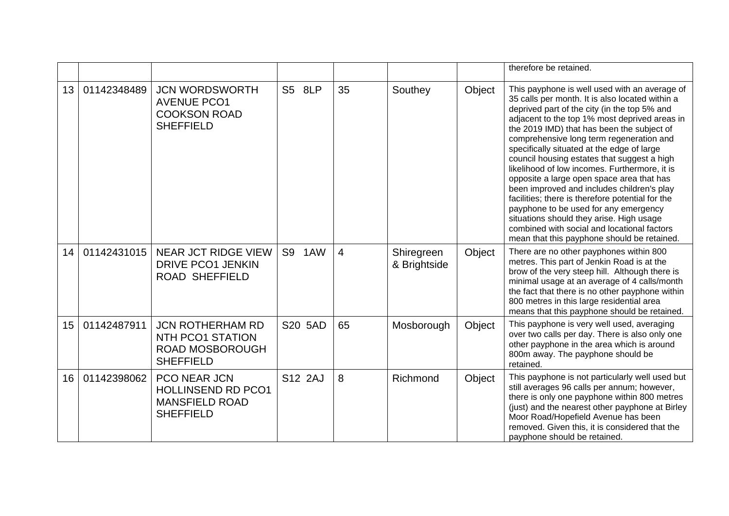|    |             |                                                                                           |         |                |                            |        | therefore be retained.                                                                                                                                                                                                                                                                                                                                                                                                                                                                                                                                                                                                                                                                                                                                                      |
|----|-------------|-------------------------------------------------------------------------------------------|---------|----------------|----------------------------|--------|-----------------------------------------------------------------------------------------------------------------------------------------------------------------------------------------------------------------------------------------------------------------------------------------------------------------------------------------------------------------------------------------------------------------------------------------------------------------------------------------------------------------------------------------------------------------------------------------------------------------------------------------------------------------------------------------------------------------------------------------------------------------------------|
| 13 | 01142348489 | <b>JCN WORDSWORTH</b><br><b>AVENUE PCO1</b><br><b>COOKSON ROAD</b><br><b>SHEFFIELD</b>    | S5 8LP  | 35             | Southey                    | Object | This payphone is well used with an average of<br>35 calls per month. It is also located within a<br>deprived part of the city (in the top 5% and<br>adjacent to the top 1% most deprived areas in<br>the 2019 IMD) that has been the subject of<br>comprehensive long term regeneration and<br>specifically situated at the edge of large<br>council housing estates that suggest a high<br>likelihood of low incomes. Furthermore, it is<br>opposite a large open space area that has<br>been improved and includes children's play<br>facilities; there is therefore potential for the<br>payphone to be used for any emergency<br>situations should they arise. High usage<br>combined with social and locational factors<br>mean that this payphone should be retained. |
| 14 | 01142431015 | NEAR JCT RIDGE VIEW<br><b>DRIVE PCO1 JENKIN</b><br><b>ROAD SHEFFIELD</b>                  | S9 1AW  | $\overline{4}$ | Shiregreen<br>& Brightside | Object | There are no other payphones within 800<br>metres. This part of Jenkin Road is at the<br>brow of the very steep hill. Although there is<br>minimal usage at an average of 4 calls/month<br>the fact that there is no other payphone within<br>800 metres in this large residential area<br>means that this payphone should be retained.                                                                                                                                                                                                                                                                                                                                                                                                                                     |
| 15 | 01142487911 | <b>JCN ROTHERHAM RD</b><br>NTH PCO1 STATION<br><b>ROAD MOSBOROUGH</b><br><b>SHEFFIELD</b> | S20 5AD | 65             | Mosborough                 | Object | This payphone is very well used, averaging<br>over two calls per day. There is also only one<br>other payphone in the area which is around<br>800m away. The payphone should be<br>retained.                                                                                                                                                                                                                                                                                                                                                                                                                                                                                                                                                                                |
| 16 | 01142398062 | PCO NEAR JCN<br><b>HOLLINSEND RD PCO1</b><br><b>MANSFIELD ROAD</b><br><b>SHEFFIELD</b>    | S12 2AJ | 8              | Richmond                   | Object | This payphone is not particularly well used but<br>still averages 96 calls per annum; however,<br>there is only one payphone within 800 metres<br>(just) and the nearest other payphone at Birley<br>Moor Road/Hopefield Avenue has been<br>removed. Given this, it is considered that the<br>payphone should be retained.                                                                                                                                                                                                                                                                                                                                                                                                                                                  |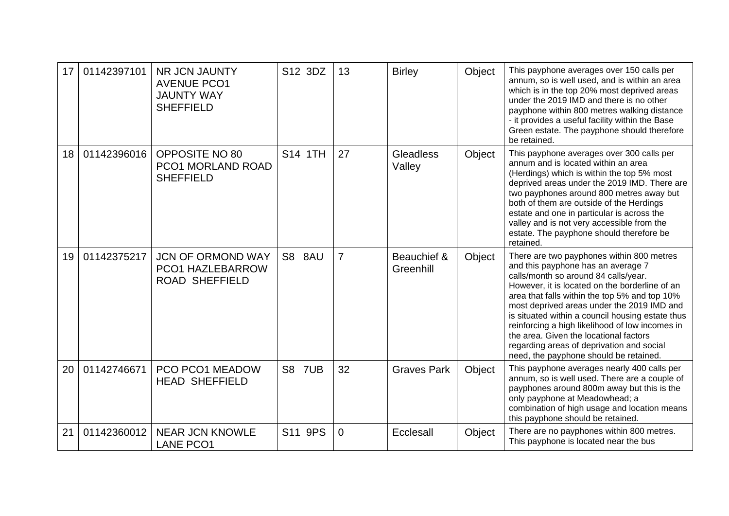| 17 | 01142397101 | NR JCN JAUNTY<br><b>AVENUE PCO1</b><br><b>JAUNTY WAY</b><br><b>SHEFFIELD</b> | S12 3DZ       | 13             | <b>Birley</b>            | Object | This payphone averages over 150 calls per<br>annum, so is well used, and is within an area<br>which is in the top 20% most deprived areas<br>under the 2019 IMD and there is no other<br>payphone within 800 metres walking distance<br>- it provides a useful facility within the Base<br>Green estate. The payphone should therefore<br>be retained.                                                                                                                                                           |
|----|-------------|------------------------------------------------------------------------------|---------------|----------------|--------------------------|--------|------------------------------------------------------------------------------------------------------------------------------------------------------------------------------------------------------------------------------------------------------------------------------------------------------------------------------------------------------------------------------------------------------------------------------------------------------------------------------------------------------------------|
| 18 | 01142396016 | OPPOSITE NO 80<br>PCO1 MORLAND ROAD<br><b>SHEFFIELD</b>                      | S14 1TH       | 27             | Gleadless<br>Valley      | Object | This payphone averages over 300 calls per<br>annum and is located within an area<br>(Herdings) which is within the top 5% most<br>deprived areas under the 2019 IMD. There are<br>two payphones around 800 metres away but<br>both of them are outside of the Herdings<br>estate and one in particular is across the<br>valley and is not very accessible from the<br>estate. The payphone should therefore be<br>retained.                                                                                      |
| 19 | 01142375217 | <b>JCN OF ORMOND WAY</b><br><b>PCO1 HAZLEBARROW</b><br><b>ROAD SHEFFIELD</b> | S8 8AU        | $\overline{7}$ | Beauchief &<br>Greenhill | Object | There are two payphones within 800 metres<br>and this payphone has an average 7<br>calls/month so around 84 calls/year.<br>However, it is located on the borderline of an<br>area that falls within the top 5% and top 10%<br>most deprived areas under the 2019 IMD and<br>is situated within a council housing estate thus<br>reinforcing a high likelihood of low incomes in<br>the area. Given the locational factors<br>regarding areas of deprivation and social<br>need, the payphone should be retained. |
| 20 | 01142746671 | PCO PCO1 MEADOW<br><b>HEAD SHEFFIELD</b>                                     | <b>S8 7UB</b> | 32             | <b>Graves Park</b>       | Object | This payphone averages nearly 400 calls per<br>annum, so is well used. There are a couple of<br>payphones around 800m away but this is the<br>only payphone at Meadowhead; a<br>combination of high usage and location means<br>this payphone should be retained.                                                                                                                                                                                                                                                |
| 21 | 01142360012 | <b>NEAR JCN KNOWLE</b><br><b>LANE PCO1</b>                                   | S11 9PS       | $\mathbf 0$    | Ecclesall                | Object | There are no payphones within 800 metres.<br>This payphone is located near the bus                                                                                                                                                                                                                                                                                                                                                                                                                               |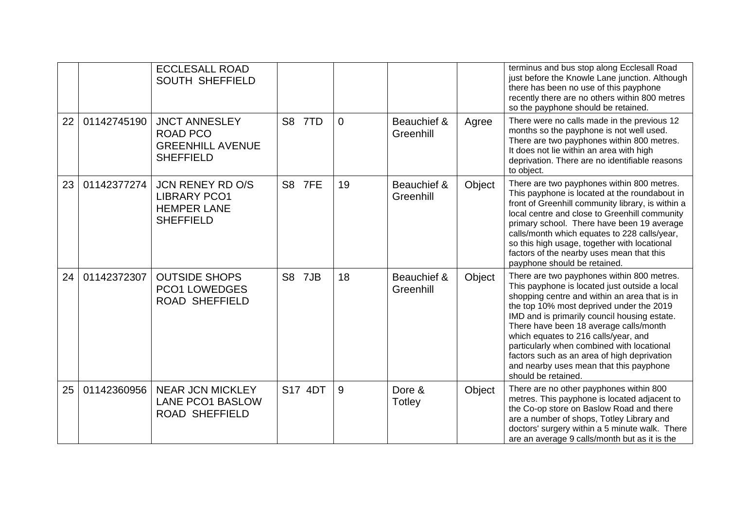|    |             | <b>ECCLESALL ROAD</b><br><b>SOUTH SHEFFIELD</b>                                          |                       |                |                          |        | terminus and bus stop along Ecclesall Road<br>just before the Knowle Lane junction. Although<br>there has been no use of this payphone<br>recently there are no others within 800 metres<br>so the payphone should be retained.                                                                                                                                                                                                                                                           |
|----|-------------|------------------------------------------------------------------------------------------|-----------------------|----------------|--------------------------|--------|-------------------------------------------------------------------------------------------------------------------------------------------------------------------------------------------------------------------------------------------------------------------------------------------------------------------------------------------------------------------------------------------------------------------------------------------------------------------------------------------|
| 22 | 01142745190 | <b>JNCT ANNESLEY</b><br><b>ROAD PCO</b><br><b>GREENHILL AVENUE</b><br><b>SHEFFIELD</b>   | S8 7TD                | $\overline{0}$ | Beauchief &<br>Greenhill | Agree  | There were no calls made in the previous 12<br>months so the payphone is not well used.<br>There are two payphones within 800 metres.<br>It does not lie within an area with high<br>deprivation. There are no identifiable reasons<br>to object.                                                                                                                                                                                                                                         |
| 23 | 01142377274 | <b>JCN RENEY RD O/S</b><br><b>LIBRARY PCO1</b><br><b>HEMPER LANE</b><br><b>SHEFFIELD</b> | S8 7FE                | 19             | Beauchief &<br>Greenhill | Object | There are two payphones within 800 metres.<br>This payphone is located at the roundabout in<br>front of Greenhill community library, is within a<br>local centre and close to Greenhill community<br>primary school. There have been 19 average<br>calls/month which equates to 228 calls/year,<br>so this high usage, together with locational<br>factors of the nearby uses mean that this<br>payphone should be retained.                                                              |
| 24 | 01142372307 | <b>OUTSIDE SHOPS</b><br><b>PCO1 LOWEDGES</b><br><b>ROAD SHEFFIELD</b>                    | S <sub>8</sub><br>7JB | 18             | Beauchief &<br>Greenhill | Object | There are two payphones within 800 metres.<br>This payphone is located just outside a local<br>shopping centre and within an area that is in<br>the top 10% most deprived under the 2019<br>IMD and is primarily council housing estate.<br>There have been 18 average calls/month<br>which equates to 216 calls/year, and<br>particularly when combined with locational<br>factors such as an area of high deprivation<br>and nearby uses mean that this payphone<br>should be retained. |
| 25 | 01142360956 | <b>NEAR JCN MICKLEY</b><br><b>LANE PCO1 BASLOW</b><br><b>ROAD SHEFFIELD</b>              | S17 4DT               | 9              | Dore &<br><b>Totley</b>  | Object | There are no other payphones within 800<br>metres. This payphone is located adjacent to<br>the Co-op store on Baslow Road and there<br>are a number of shops, Totley Library and<br>doctors' surgery within a 5 minute walk. There<br>are an average 9 calls/month but as it is the                                                                                                                                                                                                       |